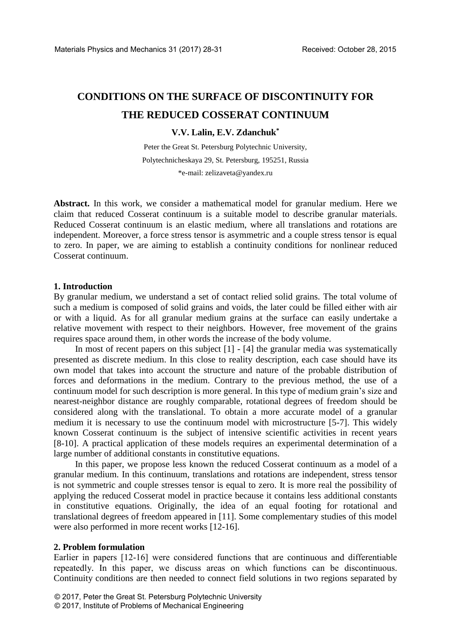# **CONDITIONS ON THE SURFACE OF DISCONTINUITY FOR THE REDUCED COSSERAT CONTINUUM**

## **V.V. Lalin, E.V. Zdanchuk\***

Peter the Great St. Petersburg Polytechnic University, Polytechnicheskaya 29, St. Petersburg, 195251, Russia \*e-mail: zelizaveta@yandex.ru

**Abstract.** In this work, we consider a mathematical model for granular medium. Here we claim that reduced Cosserat continuum is a suitable model to describe granular materials. Reduced Cosserat continuum is an elastic medium, where all translations and rotations are independent. Moreover, a force stress tensor is asymmetric and a couple stress tensor is equal to zero. In paper, we are aiming to establish a continuity conditions for nonlinear reduced Cosserat continuum.

## **1. Introduction**

By granular medium, we understand a set of contact relied solid grains. The total volume of such a medium is composed of solid grains and voids, the later could be filled either with air or with a liquid. As for all granular medium grains at the surface can easily undertake a relative movement with respect to their neighbors. However, free movement of the grains requires space around them, in other words the increase of the body volume.

In most of recent papers on this subject [1] - [4] the granular media was systematically presented as discrete medium. In this close to reality description, each case should have its own model that takes into account the structure and nature of the probable distribution of forces and deformations in the medium. Contrary to the previous method, the use of a continuum model for such description is more general. In this type of medium grain's size and nearest-neighbor distance are roughly comparable, rotational degrees of freedom should be considered along with the translational. To obtain a more accurate model of a granular medium it is necessary to use the continuum model with microstructure [5-7]. This widely known Cosserat continuum is the subject of intensive scientific activities in recent years [8-10]. A practical application of these models requires an experimental determination of a large number of additional constants in constitutive equations.

In this paper, we propose less known the reduced Cosserat continuum as a model of a granular medium. In this continuum, translations and rotations are independent, stress tensor is not symmetric and couple stresses tensor is equal to zero. It is more real the possibility of applying the reduced Cosserat model in practice because it contains less additional constants in constitutive equations. Originally, the idea of an equal footing for rotational and translational degrees of freedom appeared in [11]. Some complementary studies of this model were also performed in more recent works [12-16].

#### **2. Problem formulation**

Earlier in papers [12-16] were considered functions that are continuous and differentiable repeatedly. In this paper, we discuss areas on which functions can be discontinuous. Continuity conditions are then needed to connect field solutions in two regions separated by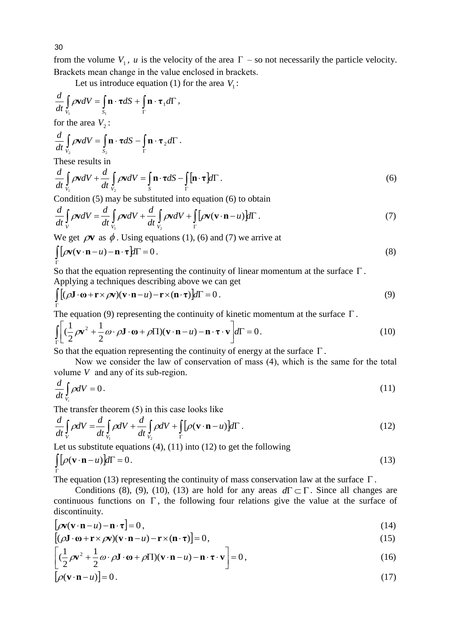from the volume  $V_1$ , *u* is the velocity of the area  $\Gamma$  – so not necessarily the particle velocity. Brackets mean change in the value enclosed in brackets.

Let us introduce equation (1) for the area  $V_1$ :

$$
\frac{d}{dt} \int_{V_1} \rho \mathbf{v} dV = \int_{S_1} \mathbf{n} \cdot \boldsymbol{\tau} dS + \int_{\Gamma} \mathbf{n} \cdot \boldsymbol{\tau}_1 d\Gamma,
$$
  
for the area  $V_2$ :  

$$
\frac{d}{dt} \int_{V_2} \rho \mathbf{v} dV = \int_{S_2} \mathbf{n} \cdot \boldsymbol{\tau} dS - \int_{\Gamma} \mathbf{n} \cdot \boldsymbol{\tau}_2 d\Gamma.
$$
  
These results in  

$$
\frac{d}{dt} \int_{\Omega} \rho \mathbf{v} dV + \frac{d}{dt} \int_{\Omega} \rho \mathbf{v} dV = \int_{\Omega} \mathbf{n} \cdot \boldsymbol{\tau} dS - \int_{\Omega} [\mathbf{n} \cdot \boldsymbol{\tau}] d\Gamma.
$$
 (6)

$$
\frac{d}{dt} \int_{V_1} \rho \mathbf{v} dV + \frac{d}{dt} \int_{V_2} \rho \mathbf{v} dV = \int_{S} \mathbf{n} \cdot \boldsymbol{\tau} dS - \int_{\Gamma} [\mathbf{n} \cdot \boldsymbol{\tau}] d\Gamma.
$$
\n(6)

Condition (5) may be substituted into equation (6) to obtain

$$
dt \int_{V_1}^{V_1} P^{VdV} + dt \int_{V_2}^{V_2} P^{VdV} = \int_{S} \mathbf{h} \cdot d\mathbf{h} \int_{\Gamma} |\mathbf{h} \cdot \mathbf{r}| d\mathbf{h}
$$
\nCondition (5) may be substituted into equation (6) to obtain\n
$$
\frac{d}{dt} \int_{V_1} \rho \mathbf{v} dV = \frac{d}{dt} \int_{V_1} \rho \mathbf{v} dV + \frac{d}{dt} \int_{V_2} \rho \mathbf{v} dV + \int_{\Gamma} [\rho \mathbf{v} (\mathbf{v} \cdot \mathbf{n} - u) d\mathbf{r}].
$$
\n(7)

We get  $\rho v$  as  $\phi$ . Using equations (1), (6) and (7) we arrive at

$$
\int_{\Gamma} \left[ \rho \mathbf{v} (\mathbf{v} \cdot \mathbf{n} - u) - \mathbf{n} \cdot \boldsymbol{\tau} \right] d\Gamma = 0 \,. \tag{8}
$$

So that the equation representing the continuity of linear momentum at the surface  $\Gamma$ . Applying a techniques describing above we can get

$$
\int_{\Gamma} [(\rho \mathbf{J} \cdot \mathbf{\omega} + \mathbf{r} \times \rho \mathbf{v})(\mathbf{v} \cdot \mathbf{n} - u) - \mathbf{r} \times (\mathbf{n} \cdot \mathbf{\tau})] d\Gamma = 0.
$$
\n(9)

The equation (9) representing the continuity of kinetic momentum at the surface  $\Gamma$ .

$$
\int_{\Gamma} \left[ \left( \frac{1}{2} \rho \mathbf{v}^2 + \frac{1}{2} \omega \cdot \rho \mathbf{J} \cdot \mathbf{\omega} + \rho \Pi \right) (\mathbf{v} \cdot \mathbf{n} - u) - \mathbf{n} \cdot \mathbf{\tau} \cdot \mathbf{v} \right] d\Gamma = 0. \tag{10}
$$

So that the equation representing the continuity of energy at the surface  $\Gamma$ .

Now we consider the law of conservation of mass (4), which is the same for the total volume *V* and any of its sub-region.

$$
\frac{d}{dt} \int_{V_i} \rho dV = 0. \tag{11}
$$

The transfer theorem (5) in this case looks like

$$
\frac{d}{dt} \int_{V_i}^{V_i}
$$
\nThe transfer theorem (5) in this case looks like\n
$$
\frac{d}{dt} \int_{V} \rho dV = \frac{d}{dt} \int_{V_i} \rho dV + \frac{d}{dt} \int_{V_2} \rho dV + \int_{\Gamma} [\rho(\mathbf{v} \cdot \mathbf{n} - u)] d\Gamma.
$$
\n(12)

Let us substitute equations (4), (11) into (12) to get the following\n
$$
\iint_{\Gamma} \rho(\mathbf{v} \cdot \mathbf{n} - u) d\Gamma = 0.
$$
\n(13)

The equation (13) representing the continuity of mass conservation law at the surface  $\Gamma$ .

Conditions (8), (9), (10), (13) are hold for any areas  $d\Gamma \subset \Gamma$ . Since all changes are continuous functions on  $\Gamma$ , the following four relations give the value at the surface of discontinuity.

$$
[\rho \mathbf{v}(\mathbf{v} \cdot \mathbf{n} - u) - \mathbf{n} \cdot \mathbf{\tau}] = 0, \qquad (14)
$$

$$
[(\rho \mathbf{J} \cdot \mathbf{\omega} + \mathbf{r} \times \rho \mathbf{v})(\mathbf{v} \cdot \mathbf{n} - u) - \mathbf{r} \times (\mathbf{n} \cdot \mathbf{r})] = 0,
$$
\n(15)

$$
\left[ \left( \frac{1}{2} \rho \mathbf{v}^2 + \frac{1}{2} \omega \cdot \rho \mathbf{J} \cdot \mathbf{\omega} + \rho \mathbf{I} \right) (\mathbf{v} \cdot \mathbf{n} - u) - \mathbf{n} \cdot \mathbf{\tau} \cdot \mathbf{v} \right] = 0, \tag{16}
$$

$$
\left[\rho(\mathbf{v}\cdot\mathbf{n}-u)\right]=0.\tag{17}
$$

30